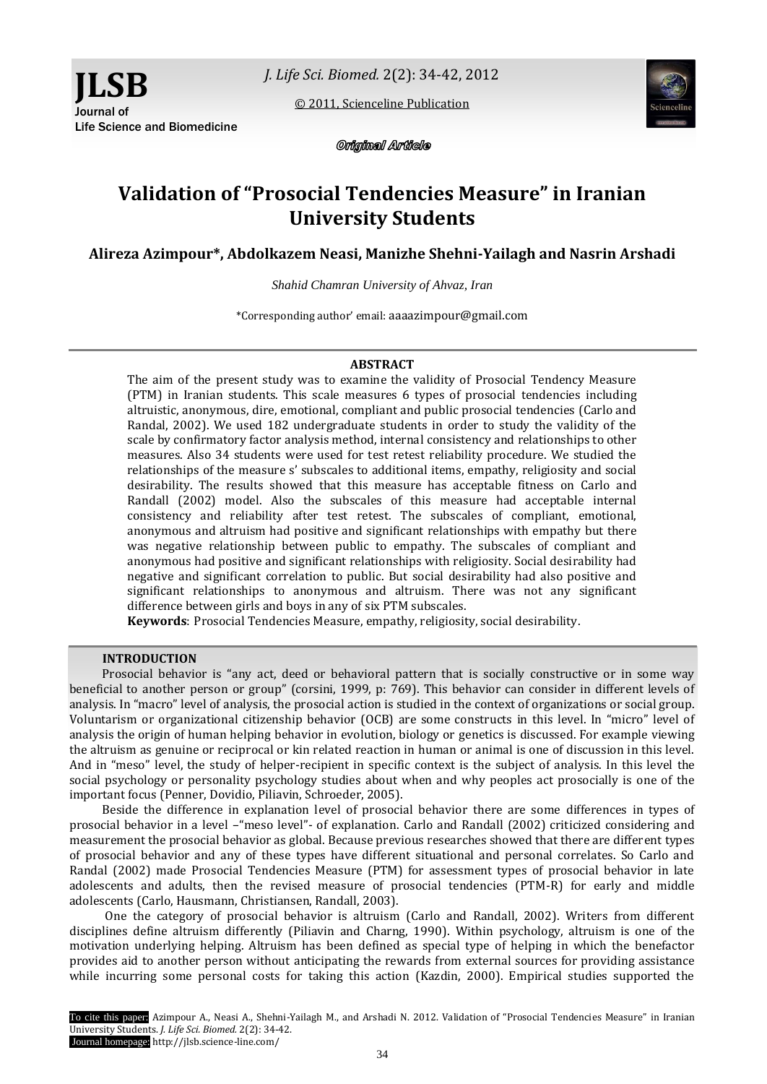[© 2011, Scienceline Publication](http://www.science-line.com/index/)



**JLSB**

Journal of



Original Article

# **Validation of "Prosocial Tendencies Measure" in Iranian University Students**

**Alireza Azimpour\*, Abdolkazem Neasi, Manizhe Shehni-Yailagh and Nasrin Arshadi**

*Shahid Chamran University of Ahvaz, Iran*

\*Corresponding author' email: aaaazimpour@gmail.com

# **ABSTRACT**

The aim of the present study was to examine the validity of Prosocial Tendency Measure (PTM) in Iranian students. This scale measures 6 types of prosocial tendencies including altruistic, anonymous, dire, emotional, compliant and public prosocial tendencies (Carlo and Randal, 2002). We used 182 undergraduate students in order to study the validity of the scale by confirmatory factor analysis method, internal consistency and relationships to other measures. Also 34 students were used for test retest reliability procedure. We studied the relationships of the measure s' subscales to additional items, empathy, religiosity and social desirability. The results showed that this measure has acceptable fitness on Carlo and Randall (2002) model. Also the subscales of this measure had acceptable internal consistency and reliability after test retest. The subscales of compliant, emotional, anonymous and altruism had positive and significant relationships with empathy but there was negative relationship between public to empathy. The subscales of compliant and anonymous had positive and significant relationships with religiosity. Social desirability had negative and significant correlation to public. But social desirability had also positive and significant relationships to anonymous and altruism. There was not any significant difference between girls and boys in any of six PTM subscales.

**Keywords**: Prosocial Tendencies Measure, empathy, religiosity, social desirability.

# **INTRODUCTION**

Prosocial behavior is "any act, deed or behavioral pattern that is socially constructive or in some way beneficial to another person or group" (corsini, 1999, p: 769). This behavior can consider in different levels of analysis. In "macro" level of analysis, the prosocial action is studied in the context of organizations or social group. Voluntarism or organizational citizenship behavior (OCB) are some constructs in this level. In "micro" level of analysis the origin of human helping behavior in evolution, biology or genetics is discussed. For example viewing the altruism as genuine or reciprocal or kin related reaction in human or animal is one of discussion in this level. And in "meso" level, the study of helper-recipient in specific context is the subject of analysis. In this level the social psychology or personality psychology studies about when and why peoples act prosocially is one of the important focus (Penner, Dovidio, Piliavin, Schroeder, 2005).

Beside the difference in explanation level of prosocial behavior there are some differences in types of prosocial behavior in a level –"meso level"- of explanation. Carlo and Randall (2002) criticized considering and measurement the prosocial behavior as global. Because previous researches showed that there are different types of prosocial behavior and any of these types have different situational and personal correlates. So Carlo and Randal (2002) made Prosocial Tendencies Measure (PTM) for assessment types of prosocial behavior in late adolescents and adults, then the revised measure of prosocial tendencies (PTM-R) for early and middle adolescents (Carlo, Hausmann, Christiansen, Randall, 2003).

One the category of prosocial behavior is altruism (Carlo and Randall, 2002). Writers from different disciplines define altruism differently (Piliavin and Charng, 1990). Within psychology, altruism is one of the motivation underlying helping. Altruism has been defined as special type of helping in which the benefactor provides aid to another person without anticipating the rewards from external sources for providing assistance while incurring some personal costs for taking this action (Kazdin, 2000). Empirical studies supported the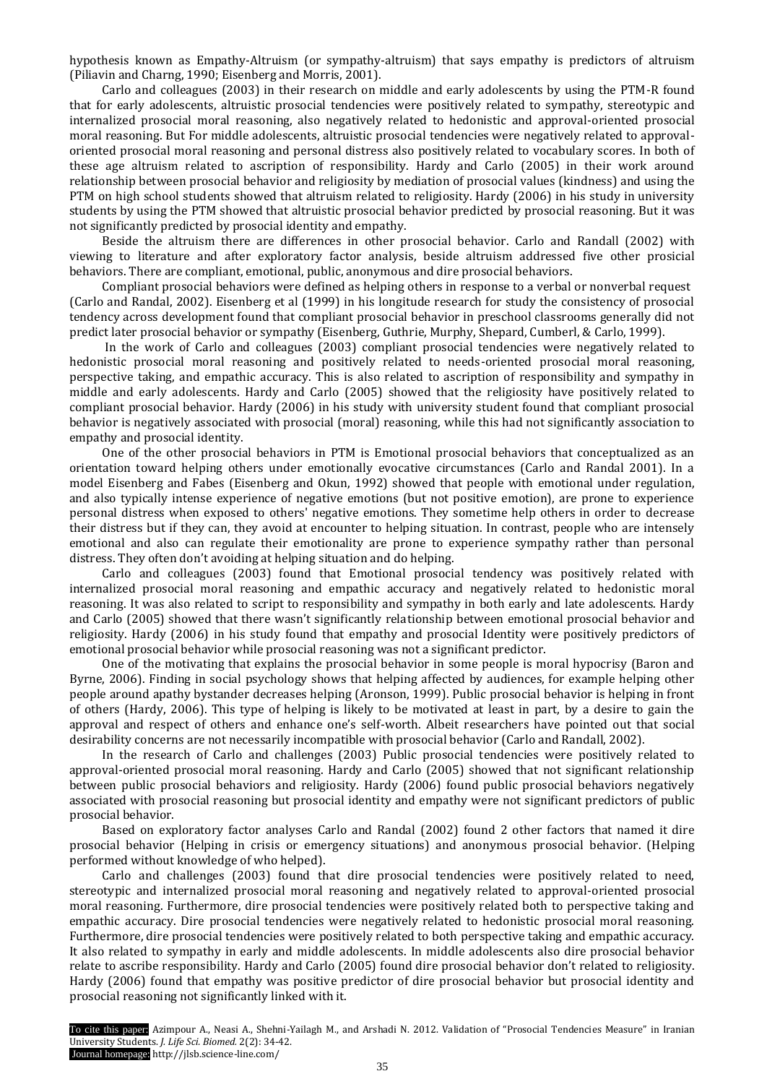hypothesis known as Empathy-Altruism (or sympathy-altruism) that says empathy is predictors of altruism (Piliavin and Charng, 1990; Eisenberg and Morris, 2001).

Carlo and colleagues (2003) in their research on middle and early adolescents by using the PTM-R found that for early adolescents, altruistic prosocial tendencies were positively related to sympathy, stereotypic and internalized prosocial moral reasoning, also negatively related to hedonistic and approval-oriented prosocial moral reasoning. But For middle adolescents, altruistic prosocial tendencies were negatively related to approvaloriented prosocial moral reasoning and personal distress also positively related to vocabulary scores. In both of these age altruism related to ascription of responsibility. Hardy and Carlo (2005) in their work around relationship between prosocial behavior and religiosity by mediation of prosocial values (kindness) and using the PTM on high school students showed that altruism related to religiosity. Hardy (2006) in his study in university students by using the PTM showed that altruistic prosocial behavior predicted by prosocial reasoning. But it was not significantly predicted by prosocial identity and empathy.

Beside the altruism there are differences in other prosocial behavior. Carlo and Randall (2002) with viewing to literature and after exploratory factor analysis, beside altruism addressed five other prosicial behaviors. There are compliant, emotional, public, anonymous and dire prosocial behaviors.

Compliant prosocial behaviors were defined as helping others in response to a verbal or nonverbal request (Carlo and Randal, 2002). Eisenberg et al (1999) in his longitude research for study the consistency of prosocial tendency across development found that compliant prosocial behavior in preschool classrooms generally did not predict later prosocial behavior or sympathy (Eisenberg, Guthrie, Murphy, Shepard, Cumberl, & Carlo, 1999).

In the work of Carlo and colleagues (2003) compliant prosocial tendencies were negatively related to hedonistic prosocial moral reasoning and positively related to needs-oriented prosocial moral reasoning, perspective taking, and empathic accuracy. This is also related to ascription of responsibility and sympathy in middle and early adolescents. Hardy and Carlo (2005) showed that the religiosity have positively related to compliant prosocial behavior. Hardy (2006) in his study with university student found that compliant prosocial behavior is negatively associated with prosocial (moral) reasoning, while this had not significantly association to empathy and prosocial identity.

One of the other prosocial behaviors in PTM is Emotional prosocial behaviors that conceptualized as an orientation toward helping others under emotionally evocative circumstances (Carlo and Randal 2001). In a model Eisenberg and Fabes (Eisenberg and Okun, 1992) showed that people with emotional under regulation, and also typically intense experience of negative emotions (but not positive emotion), are prone to experience personal distress when exposed to others' negative emotions. They sometime help others in order to decrease their distress but if they can, they avoid at encounter to helping situation. In contrast, people who are intensely emotional and also can regulate their emotionality are prone to experience sympathy rather than personal distress. They often don't avoiding at helping situation and do helping.

Carlo and colleagues (2003) found that Emotional prosocial tendency was positively related with internalized prosocial moral reasoning and empathic accuracy and negatively related to hedonistic moral reasoning. It was also related to script to responsibility and sympathy in both early and late adolescents. Hardy and Carlo (2005) showed that there wasn't significantly relationship between emotional prosocial behavior and religiosity. Hardy (2006) in his study found that empathy and prosocial Identity were positively predictors of emotional prosocial behavior while prosocial reasoning was not a significant predictor.

One of the motivating that explains the prosocial behavior in some people is moral hypocrisy (Baron and Byrne, 2006). Finding in social psychology shows that helping affected by audiences, for example helping other people around apathy bystander decreases helping (Aronson, 1999). Public prosocial behavior is helping in front of others (Hardy, 2006). This type of helping is likely to be motivated at least in part, by a desire to gain the approval and respect of others and enhance one's self-worth. Albeit researchers have pointed out that social desirability concerns are not necessarily incompatible with prosocial behavior (Carlo and Randall, 2002).

In the research of Carlo and challenges (2003) Public prosocial tendencies were positively related to approval-oriented prosocial moral reasoning. Hardy and Carlo (2005) showed that not significant relationship between public prosocial behaviors and religiosity. Hardy (2006) found public prosocial behaviors negatively associated with prosocial reasoning but prosocial identity and empathy were not significant predictors of public prosocial behavior.

Based on exploratory factor analyses Carlo and Randal (2002) found 2 other factors that named it dire prosocial behavior (Helping in crisis or emergency situations) and anonymous prosocial behavior. (Helping performed without knowledge of who helped).

Carlo and challenges (2003) found that dire prosocial tendencies were positively related to need, stereotypic and internalized prosocial moral reasoning and negatively related to approval-oriented prosocial moral reasoning. Furthermore, dire prosocial tendencies were positively related both to perspective taking and empathic accuracy. Dire prosocial tendencies were negatively related to hedonistic prosocial moral reasoning. Furthermore, dire prosocial tendencies were positively related to both perspective taking and empathic accuracy. It also related to sympathy in early and middle adolescents. In middle adolescents also dire prosocial behavior relate to ascribe responsibility. Hardy and Carlo (2005) found dire prosocial behavior don't related to religiosity. Hardy (2006) found that empathy was positive predictor of dire prosocial behavior but prosocial identity and prosocial reasoning not significantly linked with it.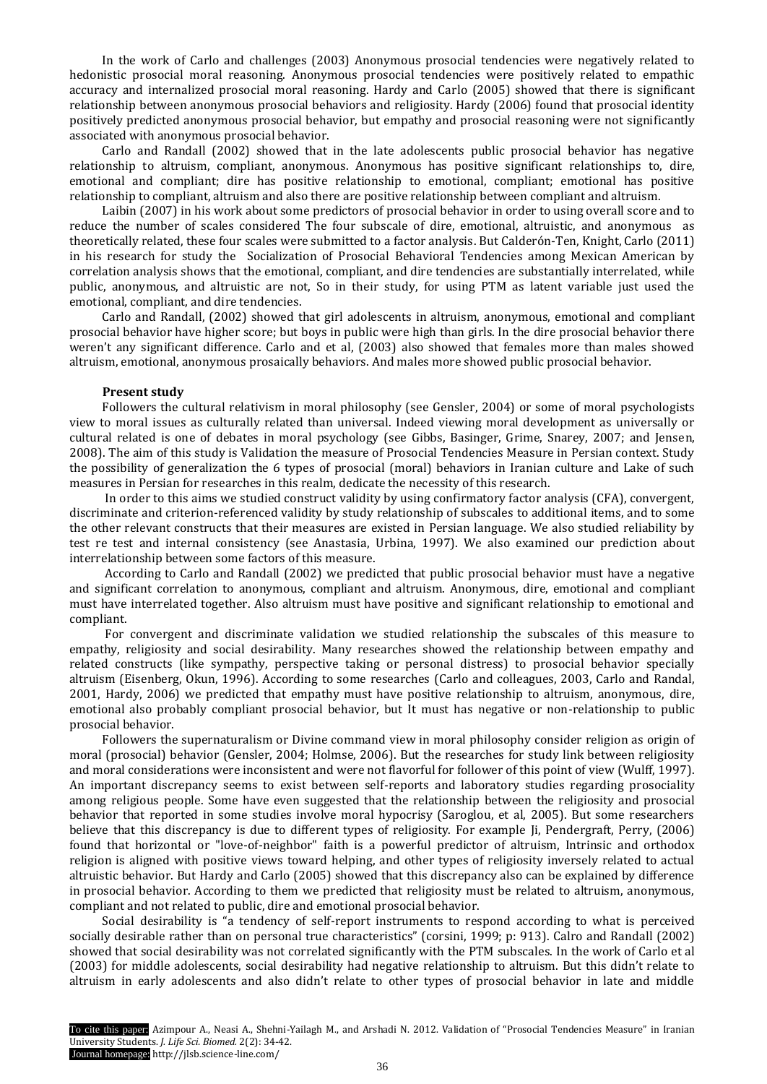In the work of Carlo and challenges (2003) Anonymous prosocial tendencies were negatively related to hedonistic prosocial moral reasoning. Anonymous prosocial tendencies were positively related to empathic accuracy and internalized prosocial moral reasoning. Hardy and Carlo (2005) showed that there is significant relationship between anonymous prosocial behaviors and religiosity. Hardy (2006) found that prosocial identity positively predicted anonymous prosocial behavior, but empathy and prosocial reasoning were not significantly associated with anonymous prosocial behavior.

Carlo and Randall (2002) showed that in the late adolescents public prosocial behavior has negative relationship to altruism, compliant, anonymous. Anonymous has positive significant relationships to, dire, emotional and compliant; dire has positive relationship to emotional, compliant; emotional has positive relationship to compliant, altruism and also there are positive relationship between compliant and altruism.

Laibin (2007) in his work about some predictors of prosocial behavior in order to using overall score and to reduce the number of scales considered The four subscale of dire, emotional, altruistic, and anonymous as theoretically related, these four scales were submitted to a factor analysis. But Calderón-Ten, Knight, Carlo (2011) in his research for study the Socialization of Prosocial Behavioral Tendencies among Mexican American by correlation analysis shows that the emotional, compliant, and dire tendencies are substantially interrelated, while public, anonymous, and altruistic are not, So in their study, for using PTM as latent variable just used the emotional, compliant, and dire tendencies.

Carlo and Randall, (2002) showed that girl adolescents in altruism, anonymous, emotional and compliant prosocial behavior have higher score; but boys in public were high than girls. In the dire prosocial behavior there weren't any significant difference. Carlo and et al, (2003) also showed that females more than males showed altruism, emotional, anonymous prosaically behaviors. And males more showed public prosocial behavior.

# **Present study**

Followers the cultural relativism in moral philosophy (see Gensler, 2004) or some of moral psychologists view to moral issues as culturally related than universal. Indeed viewing moral development as universally or cultural related is one of debates in moral psychology (see Gibbs, Basinger, Grime, Snarey, 2007; and Jensen, 2008). The aim of this study is Validation the measure of Prosocial Tendencies Measure in Persian context. Study the possibility of generalization the 6 types of prosocial (moral) behaviors in Iranian culture and Lake of such measures in Persian for researches in this realm, dedicate the necessity of this research.

In order to this aims we studied construct validity by using confirmatory factor analysis (CFA), convergent, discriminate and criterion-referenced validity by study relationship of subscales to additional items, and to some the other relevant constructs that their measures are existed in Persian language. We also studied reliability by test re test and internal consistency (see Anastasia, Urbina, 1997). We also examined our prediction about interrelationship between some factors of this measure.

According to Carlo and Randall (2002) we predicted that public prosocial behavior must have a negative and significant correlation to anonymous, compliant and altruism. Anonymous, dire, emotional and compliant must have interrelated together. Also altruism must have positive and significant relationship to emotional and compliant.

For convergent and discriminate validation we studied relationship the subscales of this measure to empathy, religiosity and social desirability. Many researches showed the relationship between empathy and related constructs (like sympathy, perspective taking or personal distress) to prosocial behavior specially altruism (Eisenberg, Okun, 1996). According to some researches (Carlo and colleagues, 2003, Carlo and Randal, 2001, Hardy, 2006) we predicted that empathy must have positive relationship to altruism, anonymous, dire, emotional also probably compliant prosocial behavior, but It must has negative or non-relationship to public prosocial behavior.

Followers the supernaturalism or Divine command view in moral philosophy consider religion as origin of moral (prosocial) behavior (Gensler, 2004; Holmse, 2006). But the researches for study link between religiosity and moral considerations were inconsistent and were not flavorful for follower of this point of view (Wulff, 1997). An important discrepancy seems to exist between self-reports and laboratory studies regarding prosociality among religious people. Some have even suggested that the relationship between the religiosity and prosocial behavior that reported in some studies involve moral hypocrisy (Saroglou, et al, 2005). But some researchers believe that this discrepancy is due to different types of religiosity. For example Ji, Pendergraft, Perry, (2006) found that horizontal or "love-of-neighbor" faith is a powerful predictor of altruism, Intrinsic and orthodox religion is aligned with positive views toward helping, and other types of religiosity inversely related to actual altruistic behavior. But Hardy and Carlo (2005) showed that this discrepancy also can be explained by difference in prosocial behavior. According to them we predicted that religiosity must be related to altruism, anonymous, compliant and not related to public, dire and emotional prosocial behavior.

Social desirability is "a tendency of self-report instruments to respond according to what is perceived socially desirable rather than on personal true characteristics" (corsini, 1999; p: 913). Calro and Randall (2002) showed that social desirability was not correlated significantly with the PTM subscales. In the work of Carlo et al (2003) for middle adolescents, social desirability had negative relationship to altruism. But this didn't relate to altruism in early adolescents and also didn't relate to other types of prosocial behavior in late and middle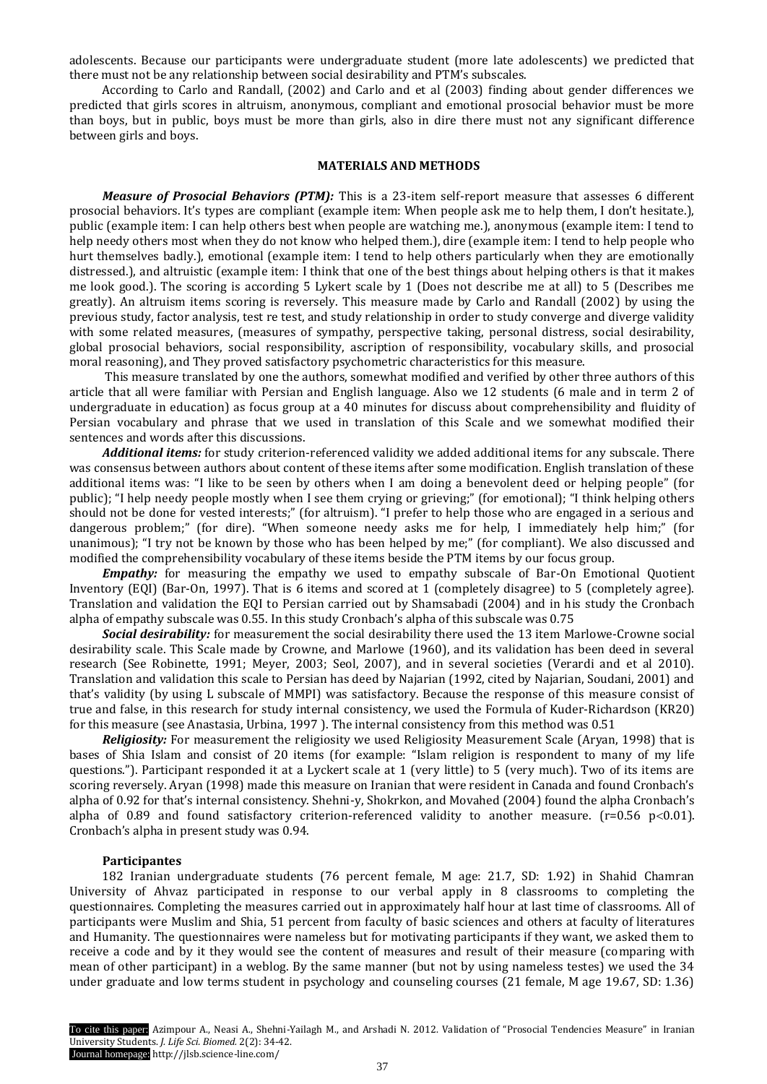adolescents. Because our participants were undergraduate student (more late adolescents) we predicted that there must not be any relationship between social desirability and PTM's subscales.

According to Carlo and Randall, (2002) and Carlo and et al (2003) finding about gender differences we predicted that girls scores in altruism, anonymous, compliant and emotional prosocial behavior must be more than boys, but in public, boys must be more than girls, also in dire there must not any significant difference between girls and boys.

# **MATERIALS AND METHODS**

*Measure of Prosocial Behaviors (PTM):* This is a 23-item self-report measure that assesses 6 different prosocial behaviors. It's types are compliant (example item: When people ask me to help them, I don't hesitate.), public (example item: I can help others best when people are watching me.), anonymous (example item: I tend to help needy others most when they do not know who helped them.), dire (example item: I tend to help people who hurt themselves badly.), emotional (example item: I tend to help others particularly when they are emotionally distressed.), and altruistic (example item: I think that one of the best things about helping others is that it makes me look good.). The scoring is according 5 Lykert scale by 1 (Does not describe me at all) to 5 (Describes me greatly). An altruism items scoring is reversely. This measure made by Carlo and Randall (2002) by using the previous study, factor analysis, test re test, and study relationship in order to study converge and diverge validity with some related measures, (measures of sympathy, perspective taking, personal distress, social desirability, global prosocial behaviors, social responsibility, ascription of responsibility, vocabulary skills, and prosocial moral reasoning), and They proved satisfactory psychometric characteristics for this measure.

This measure translated by one the authors, somewhat modified and verified by other three authors of this article that all were familiar with Persian and English language. Also we 12 students (6 male and in term 2 of undergraduate in education) as focus group at a 40 minutes for discuss about comprehensibility and fluidity of Persian vocabulary and phrase that we used in translation of this Scale and we somewhat modified their sentences and words after this discussions.

*Additional items:* for study criterion-referenced validity we added additional items for any subscale. There was consensus between authors about content of these items after some modification. English translation of these additional items was: "I like to be seen by others when I am doing a benevolent deed or helping people" (for public); "I help needy people mostly when I see them crying or grieving;" (for emotional); "I think helping others should not be done for vested interests;" (for altruism). "I prefer to help those who are engaged in a serious and dangerous problem;" (for dire). "When someone needy asks me for help, I immediately help him;" (for unanimous); "I try not be known by those who has been helped by me;" (for compliant). We also discussed and modified the comprehensibility vocabulary of these items beside the PTM items by our focus group.

*Empathy:* for measuring the empathy we used to empathy subscale of Bar-On Emotional Quotient Inventory (EQI) (Bar-On, 1997). That is 6 items and scored at 1 (completely disagree) to 5 (completely agree). Translation and validation the EQI to Persian carried out by Shamsabadi (2004) and in his study the Cronbach alpha of empathy subscale was 0.55. In this study Cronbach's alpha of this subscale was 0.75

*Social desirability:* for measurement the social desirability there used the 13 item Marlowe-Crowne social desirability scale. This Scale made by Crowne, and Marlowe (1960), and its validation has been deed in several research (See Robinette, 1991; Meyer, 2003; Seol, 2007), and in several societies (Verardi and et al 2010). Translation and validation this scale to Persian has deed by Najarian (1992, cited by Najarian, Soudani, 2001) and that's validity (by using L subscale of MMPI) was satisfactory. Because the response of this measure consist of true and false, in this research for study internal consistency, we used the Formula of Kuder-Richardson (KR20) for this measure (see Anastasia, Urbina, 1997 ). The internal consistency from this method was 0.51

*Religiosity:* For measurement the religiosity we used Religiosity Measurement Scale (Aryan, 1998) that is bases of Shia Islam and consist of 20 items (for example: "Islam religion is respondent to many of my life questions."). Participant responded it at a Lyckert scale at 1 (very little) to 5 (very much). Two of its items are scoring reversely. Aryan (1998) made this measure on Iranian that were resident in Canada and found Cronbach's alpha of 0.92 for that's internal consistency. Shehni-y, Shokrkon, and Movahed (2004) found the alpha Cronbach's alpha of 0.89 and found satisfactory criterion-referenced validity to another measure. ( $r=0.56$  p<0.01). Cronbach's alpha in present study was 0.94.

#### **Participantes**

182 Iranian undergraduate students (76 percent female, M age: 21.7, SD: 1.92) in Shahid Chamran University of Ahvaz participated in response to our verbal apply in 8 classrooms to completing the questionnaires. Completing the measures carried out in approximately half hour at last time of classrooms. All of participants were Muslim and Shia, 51 percent from faculty of basic sciences and others at faculty of literatures and Humanity. The questionnaires were nameless but for motivating participants if they want, we asked them to receive a code and by it they would see the content of measures and result of their measure (comparing with mean of other participant) in a weblog. By the same manner (but not by using nameless testes) we used the 34 under graduate and low terms student in psychology and counseling courses (21 female, M age 19.67, SD: 1.36)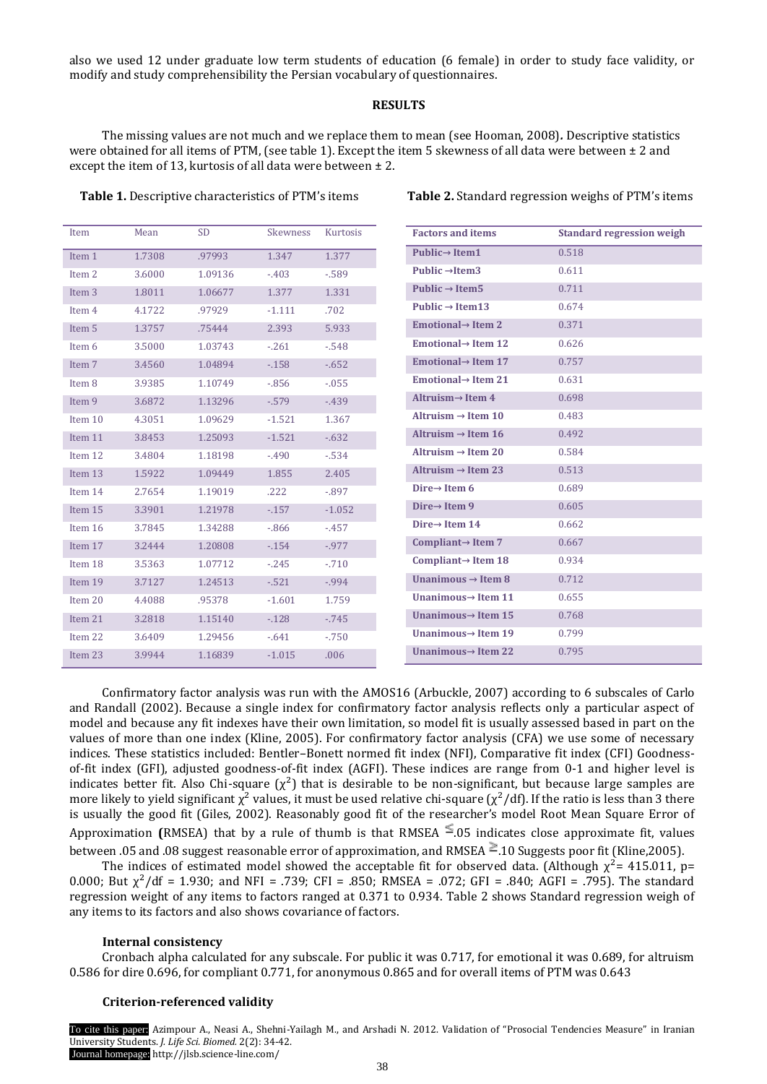also we used 12 under graduate low term students of education (6 female) in order to study face validity, or modify and study comprehensibility the Persian vocabulary of questionnaires.

# **RESULTS**

The missing values are not much and we replace them to mean (see Hooman, 2008)*.* Descriptive statistics were obtained for all items of PTM, (see table 1). Except the item 5 skewness of all data were between ± 2 and except the item of 13, kurtosis of all data were between  $\pm 2$ .

| Item              | Mean   | <b>SD</b> | <b>Skewness</b> | Kurtosis |
|-------------------|--------|-----------|-----------------|----------|
| Item 1            | 1.7308 | .97993    | 1.347           | 1.377    |
| Item <sub>2</sub> | 3.6000 | 1.09136   | $-403$          | $-589$   |
| Item <sub>3</sub> | 1.8011 | 1.06677   | 1.377           | 1.331    |
| Item 4            | 4.1722 | .97929    | $-1.111$        | .702     |
| Item 5            | 1.3757 | .75444    | 2.393           | 5.933    |
| Item 6            | 3.5000 | 1.03743   | $-261$          | $-548$   |
| Item 7            | 3.4560 | 1.04894   | $-158$          | $-652$   |
| Item 8            | 3.9385 | 1.10749   | $-0.856$        | $-0.055$ |
| Item 9            | 3.6872 | 1.13296   | $-579$          | $-439$   |
| Item 10           | 4.3051 | 1.09629   | $-1.521$        | 1.367    |
| Item 11           | 3.8453 | 1.25093   | $-1.521$        | $-632$   |
| Item 12           | 3.4804 | 1.18198   | $-490$          | $-534$   |
| Item 13           | 1.5922 | 1.09449   | 1.855           | 2.405    |
| Item 14           | 2.7654 | 1.19019   | .222            | $-0.897$ |
| Item 15           | 3.3901 | 1.21978   | $-157$          | $-1.052$ |
| Item 16           | 3.7845 | 1.34288   | $-0.866$        | $-457$   |
| Item 17           | 3.2444 | 1.20808   | $-154$          | $-977$   |
| Item 18           | 3.5363 | 1.07712   | $-245$          | $-710$   |
| Item 19           | 3.7127 | 1.24513   | $-521$          | $-0.994$ |
| Item 20           | 4.4088 | .95378    | $-1.601$        | 1.759    |
| Item 21           | 3.2818 | 1.15140   | $-128$          | $-745$   |
| Item 22           | 3.6409 | 1.29456   | $-641$          | $-750$   |
| Item 23           | 3.9944 | 1.16839   | $-1.015$        | .006     |

**Table 1.** Descriptive characteristics of PTM's items **Table 2.** Standard regression weighs of PTM's items

| <b>Factors and items</b>         | <b>Standard regression weigh</b> |
|----------------------------------|----------------------------------|
| Public $\rightarrow$ Item1       | 0.518                            |
| Public $\rightarrow$ Item 3      | 0.611                            |
| Public $\rightarrow$ Item5       | 0.711                            |
| Public $\rightarrow$ Item13      | 0.674                            |
| Emotional $\rightarrow$ Item 2   | 0.371                            |
| Emotional $\rightarrow$ Item 12  | 0.626                            |
| Emotional $\rightarrow$ Item 17  | 0.757                            |
| Emotional $\rightarrow$ Item 21  | 0.631                            |
| Altruism $\rightarrow$ Item 4    | 0.698                            |
| Altruism $\rightarrow$ Item 10   | 0.483                            |
| Altruism $\rightarrow$ Item 16   | 0.492                            |
| Altruism $\rightarrow$ Item 20   | 0.584                            |
| Altruism $\rightarrow$ Item 23   | 0.513                            |
| Dire $\rightarrow$ Item 6        | 0.689                            |
| Dire $\rightarrow$ Item 9        | 0.605                            |
| Dire $\rightarrow$ Item 14       | 0.662                            |
| Compliant $\rightarrow$ Item 7   | 0.667                            |
| Compliant $\rightarrow$ Item 18  | 0.934                            |
| Unanimous $\rightarrow$ Item 8   | 0.712                            |
| Unanimous $\rightarrow$ Item 11  | 0.655                            |
| Unanimous $\rightarrow$ Item 15  | 0.768                            |
| Unanimous $\rightarrow$ Item 19  | 0.799                            |
| Ilnanimous $\rightarrow$ Item 22 | 0.795                            |

Confirmatory factor analysis was run with the AMOS16 (Arbuckle, 2007) according to 6 subscales of Carlo and Randall (2002). Because a single index for confirmatory factor analysis reflects only a particular aspect of model and because any fit indexes have their own limitation, so model fit is usually assessed based in part on the values of more than one index (Kline, 2005). For confirmatory factor analysis (CFA) we use some of necessary indices. These statistics included: Bentler–Bonett normed fit index (NFI), Comparative fit index (CFI) Goodnessof-fit index (GFI), adjusted goodness-of-fit index (AGFI). These indices are range from 0-1 and higher level is indicates better fit. Also Chi-square  $(\chi^2)$  that is desirable to be non-significant, but because large samples are more likely to yield significant  $\chi^2$  values, it must be used relative chi-square ( $\chi^2$ /df). If the ratio is less than 3 there is usually the good fit (Giles, 2002). Reasonably good fit of the researcher's model Root Mean Square Error of Approximation **(RMSEA)** that by a rule of thumb is that RMSEA  $\leq$  05 indicates close approximate fit, values between .05 and .08 suggest reasonable error of approximation, and RMSEA  $\geq$  10 Suggests poor fit (Kline,2005).

The indices of estimated model showed the acceptable fit for observed data. (Although  $\chi^2$ = 415.011, p= 0.000; But  $\chi^2$ /df = 1.930; and NFI = .739; CFI = .850; RMSEA = .072; GFI = .840; AGFI = .795). The standard regression weight of any items to factors ranged at 0.371 to 0.934. Table 2 shows Standard regression weigh of any items to its factors and also shows covariance of factors.

#### **Internal consistency**

Cronbach alpha calculated for any subscale. For public it was 0.717, for emotional it was 0.689, for altruism 0.586 for dire 0.696, for compliant 0.771, for anonymous 0.865 and for overall items of PTM was 0.643

#### **Criterion-referenced validity**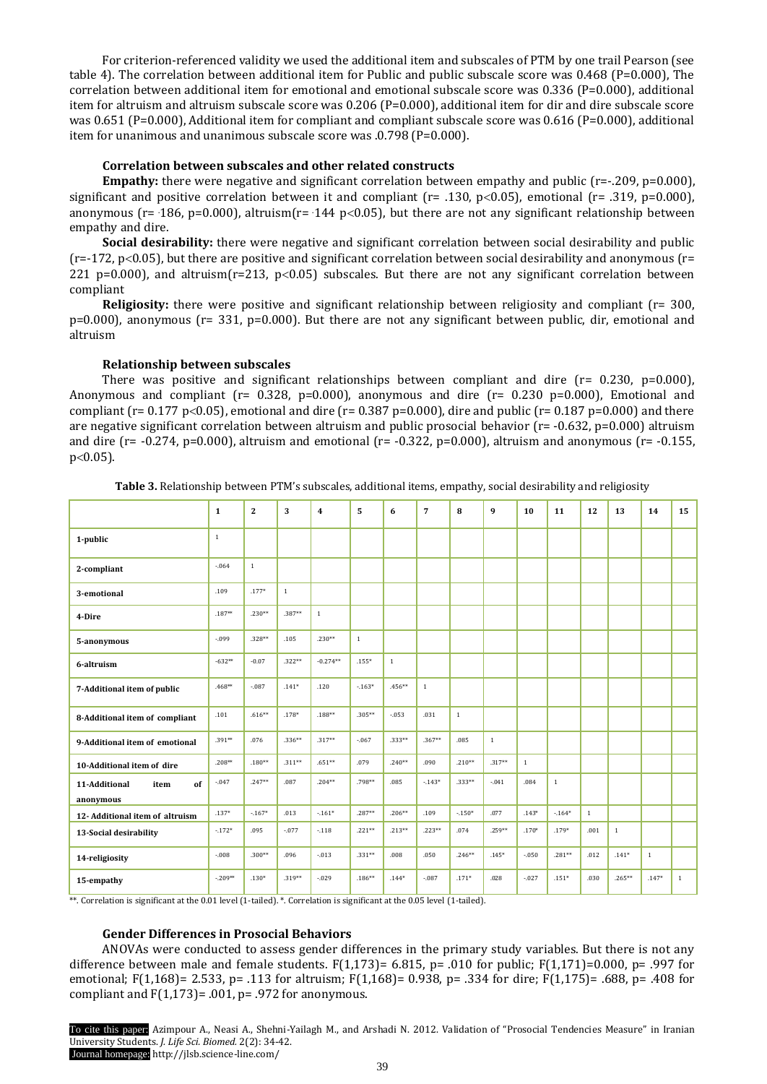For criterion-referenced validity we used the additional item and subscales of PTM by one trail Pearson (see table 4). The correlation between additional item for Public and public subscale score was 0.468 (P=0.000), The correlation between additional item for emotional and emotional subscale score was 0.336 (P=0.000), additional item for altruism and altruism subscale score was 0.206 (P=0.000), additional item for dir and dire subscale score was 0.651 (P=0.000), Additional item for compliant and compliant subscale score was 0.616 (P=0.000), additional item for unanimous and unanimous subscale score was .0.798 (P=0.000).

# **Correlation between subscales and other related constructs**

**Empathy:** there were negative and significant correlation between empathy and public (r=-.209, p=0.000), significant and positive correlation between it and compliant ( $r = .130$ ,  $p<0.05$ ), emotional ( $r = .319$ ,  $p=0.000$ ), anonymous (r= 186, p=0.000), altruism(r= 144 p<0.05), but there are not any significant relationship between empathy and dire.

**Social desirability:** there were negative and significant correlation between social desirability and public  $(r=-172, p<0.05)$ , but there are positive and significant correlation between social desirability and anonymous  $(r=$ 221 p=0.000), and altruism( $r=213$ , p<0.05) subscales. But there are not any significant correlation between compliant

**Religiosity:** there were positive and significant relationship between religiosity and compliant (r= 300,  $p=0.000$ ), anonymous ( $r= 331$ ,  $p=0.000$ ). But there are not any significant between public, dir, emotional and altruism

# **Relationship between subscales**

There was positive and significant relationships between compliant and dire  $(r= 0.230, p=0.000)$ , Anonymous and compliant ( $r= 0.328$ ,  $p=0.000$ ), anonymous and dire ( $r= 0.230$  p=0.000), Emotional and compliant (r= 0.177 p<0.05), emotional and dire (r= 0.387 p=0.000), dire and public (r= 0.187 p=0.000) and there are negative significant correlation between altruism and public prosocial behavior (r= -0.632, p=0.000) altruism and dire ( $r = -0.274$ ,  $p=0.000$ ), altruism and emotional ( $r = -0.322$ ,  $p=0.000$ ), altruism and anonymous ( $r = -0.155$ ,  $p<0.05$ ).

|                                          | $\mathbf{1}$ | $\mathbf{2}$ | 3            | $\overline{4}$ | 5            | 6        | $\overline{7}$ | 8        | 9        | 10           | 11           | 12           | 13           | 14           | 15           |
|------------------------------------------|--------------|--------------|--------------|----------------|--------------|----------|----------------|----------|----------|--------------|--------------|--------------|--------------|--------------|--------------|
| 1-public                                 | $\mathbf{1}$ |              |              |                |              |          |                |          |          |              |              |              |              |              |              |
| 2-compliant                              | $-0.64$      | $\mathbf{1}$ |              |                |              |          |                |          |          |              |              |              |              |              |              |
| 3-emotional                              | .109         | $.177*$      | $\mathbf{1}$ |                |              |          |                |          |          |              |              |              |              |              |              |
| 4-Dire                                   | $.187**$     | $.230**$     | $.387**$     | $1\,$          |              |          |                |          |          |              |              |              |              |              |              |
| 5-anonymous                              | $-0.099$     | $.328**$     | .105         | $.230**$       | $\mathbf{1}$ |          |                |          |          |              |              |              |              |              |              |
| 6-altruism                               | $-632**$     | $-0.07$      | $.322**$     | $-0.274**$     | $.155*$      | $\,1\,$  |                |          |          |              |              |              |              |              |              |
| 7-Additional item of public              | $.468**$     | $-087$       | $.141*$      | .120           | $-.163*$     | $.456**$ | $1\,$          |          |          |              |              |              |              |              |              |
| 8-Additional item of compliant           | .101         | $.616**$     | $.178*$      | $.188**$       | $.305**$     | $-.053$  | .031           | $\,1\,$  |          |              |              |              |              |              |              |
| 9-Additional item of emotional           | $.391**$     | .076         | $.336**$     | $.317**$       | $-0.067$     | $.333**$ | $.367**$       | .085     | $1\,$    |              |              |              |              |              |              |
| 10-Additional item of dire               | $.208**$     | $.180**$     | $.311**$     | $.651**$       | .079         | $.240**$ | .090           | $.210**$ | $.317**$ | $\mathbf{1}$ |              |              |              |              |              |
| 11-Additional<br>item<br>of<br>anonymous | $-047$       | $.247**$     | .087         | $.204**$       | .798**       | .085     | $-143*$        | $.333**$ | $-0.041$ | .084         | $\mathbf{1}$ |              |              |              |              |
| 12- Additional item of altruism          | $.137*$      | $-167*$      | .013         | $-.161*$       | $.287**$     | $.206**$ | .109           | $-150*$  | .077     | $.143*$      | $-164*$      | $\mathbf{1}$ |              |              |              |
| 13-Social desirability                   | $-.172*$     | .095         | $-.077$      | $-.118$        | $.221**$     | $.213**$ | $.223**$       | .074     | .259**   | $.170*$      | $.179*$      | .001         | $\mathbf{1}$ |              |              |
| 14-religiosity                           | $-0.08$      | $.300**$     | .096         | $-013$         | $.331**$     | .008     | .050           | $.246**$ | $.145*$  | $-0.50$      | $.281**$     | .012         | $.141*$      | $\mathbf{1}$ |              |
| 15-empathy                               | $-.209**$    | $.130*$      | $.319**$     | $-029$         | $.186**$     | $.144*$  | $-.087$        | $.171*$  | .028     | $-027$       | $.151*$      | .030         | $.265***$    | $.147*$      | $\mathbf{1}$ |

**Table 3.** Relationship between PTM's subscales, additional items, empathy, social desirability and religiosity

\*\*. Correlation is significant at the 0.01 level (1-tailed). \*. Correlation is significant at the 0.05 level (1-tailed).

## **Gender Differences in Prosocial Behaviors**

ANOVAs were conducted to assess gender differences in the primary study variables. But there is not any difference between male and female students.  $F(1,173) = 6.815$ , p= .010 for public;  $F(1,171) = 0.000$ , p= .997 for emotional; F(1,168)= 2.533, p= .113 for altruism; F(1,168)= 0.938, p= .334 for dire; F(1,175)= .688, p= .408 for compliant and  $F(1,173) = .001$ , p= .972 for anonymous.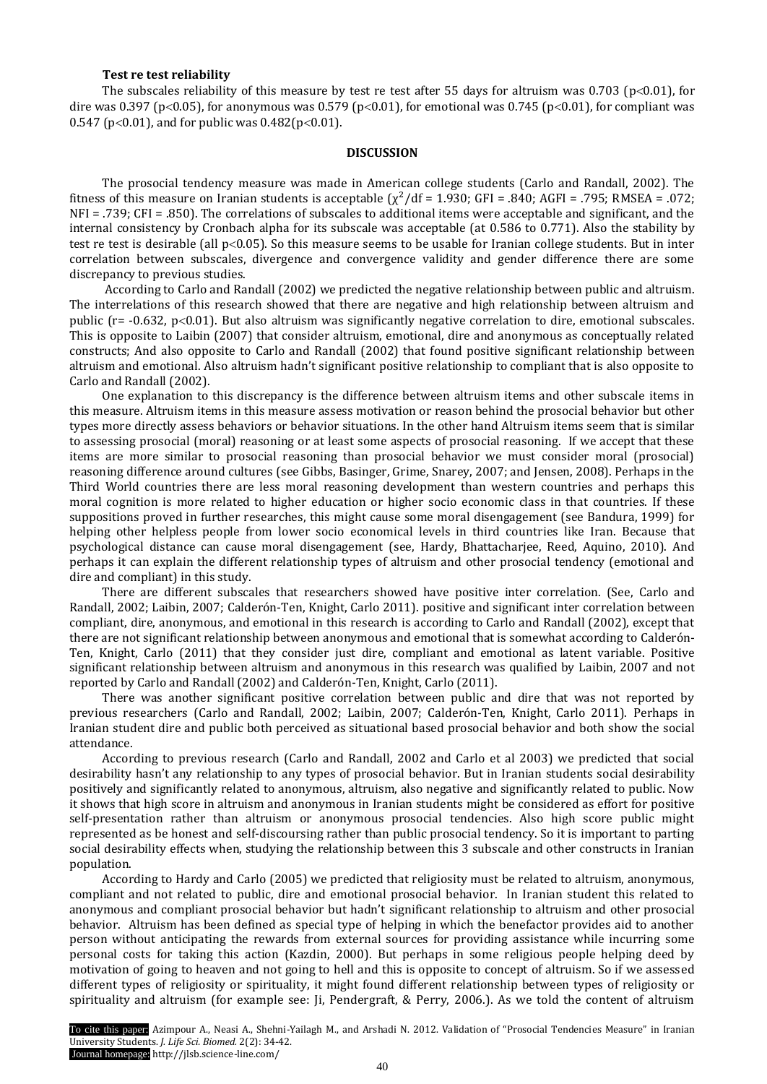## **Test re test reliability**

The subscales reliability of this measure by test re test after 55 days for altruism was 0.703 ( $p<0.01$ ), for dire was 0.397 (p<0.05), for anonymous was 0.579 (p<0.01), for emotional was 0.745 (p<0.01), for compliant was  $0.547$  (p<0.01), and for public was  $0.482(p<0.01)$ .

### **DISCUSSION**

The prosocial tendency measure was made in American college students (Carlo and Randall, 2002). The fitness of this measure on Iranian students is acceptable  $(\chi^2/df = 1.930)$ ; GFI = .840; AGFI = .795; RMSEA = .072; NFI = .739; CFI = .850). The correlations of subscales to additional items were acceptable and significant, and the internal consistency by Cronbach alpha for its subscale was acceptable (at 0.586 to 0.771). Also the stability by test re test is desirable (all p<0.05). So this measure seems to be usable for Iranian college students. But in inter correlation between subscales, divergence and convergence validity and gender difference there are some discrepancy to previous studies.

According to Carlo and Randall (2002) we predicted the negative relationship between public and altruism. The interrelations of this research showed that there are negative and high relationship between altruism and public ( $r = -0.632$ ,  $p < 0.01$ ). But also altruism was significantly negative correlation to dire, emotional subscales. This is opposite to Laibin (2007) that consider altruism, emotional, dire and anonymous as conceptually related constructs; And also opposite to Carlo and Randall (2002) that found positive significant relationship between altruism and emotional. Also altruism hadn't significant positive relationship to compliant that is also opposite to Carlo and Randall (2002).

One explanation to this discrepancy is the difference between altruism items and other subscale items in this measure. Altruism items in this measure assess motivation or reason behind the prosocial behavior but other types more directly assess behaviors or behavior situations. In the other hand Altruism items seem that is similar to assessing prosocial (moral) reasoning or at least some aspects of prosocial reasoning. If we accept that these items are more similar to prosocial reasoning than prosocial behavior we must consider moral (prosocial) reasoning difference around cultures (see Gibbs, Basinger, Grime, Snarey, 2007; and Jensen, 2008). Perhaps in the Third World countries there are less moral reasoning development than western countries and perhaps this moral cognition is more related to higher education or higher socio economic class in that countries. If these suppositions proved in further researches, this might cause some moral disengagement (see Bandura, 1999) for helping other helpless people from lower socio economical levels in third countries like Iran. Because that psychological distance can cause moral disengagement (see, Hardy, Bhattacharjee, Reed, Aquino, 2010). And perhaps it can explain the different relationship types of altruism and other prosocial tendency (emotional and dire and compliant) in this study.

There are different subscales that researchers showed have positive inter correlation. (See, Carlo and Randall, 2002; Laibin, 2007; Calderón-Ten, Knight, Carlo 2011). positive and significant inter correlation between compliant, dire, anonymous, and emotional in this research is according to Carlo and Randall (2002), except that there are not significant relationship between anonymous and emotional that is somewhat according to Calderón-Ten, Knight, Carlo (2011) that they consider just dire, compliant and emotional as latent variable. Positive significant relationship between altruism and anonymous in this research was qualified by Laibin, 2007 and not reported by Carlo and Randall (2002) and Calderón-Ten, Knight, Carlo (2011).

There was another significant positive correlation between public and dire that was not reported by previous researchers (Carlo and Randall, 2002; Laibin, 2007; Calderón-Ten, Knight, Carlo 2011). Perhaps in Iranian student dire and public both perceived as situational based prosocial behavior and both show the social attendance.

According to previous research (Carlo and Randall, 2002 and Carlo et al 2003) we predicted that social desirability hasn't any relationship to any types of prosocial behavior. But in Iranian students social desirability positively and significantly related to anonymous, altruism, also negative and significantly related to public. Now it shows that high score in altruism and anonymous in Iranian students might be considered as effort for positive self-presentation rather than altruism or anonymous prosocial tendencies. Also high score public might represented as be honest and self-discoursing rather than public prosocial tendency. So it is important to parting social desirability effects when, studying the relationship between this 3 subscale and other constructs in Iranian population.

According to Hardy and Carlo (2005) we predicted that religiosity must be related to altruism, anonymous, compliant and not related to public, dire and emotional prosocial behavior. In Iranian student this related to anonymous and compliant prosocial behavior but hadn't significant relationship to altruism and other prosocial behavior. Altruism has been defined as special type of helping in which the benefactor provides aid to another person without anticipating the rewards from external sources for providing assistance while incurring some personal costs for taking this action (Kazdin, 2000). But perhaps in some religious people helping deed by motivation of going to heaven and not going to hell and this is opposite to concept of altruism. So if we assessed different types of religiosity or spirituality, it might found different relationship between types of religiosity or spirituality and altruism (for example see: Ji, Pendergraft, & Perry, 2006.). As we told the content of altruism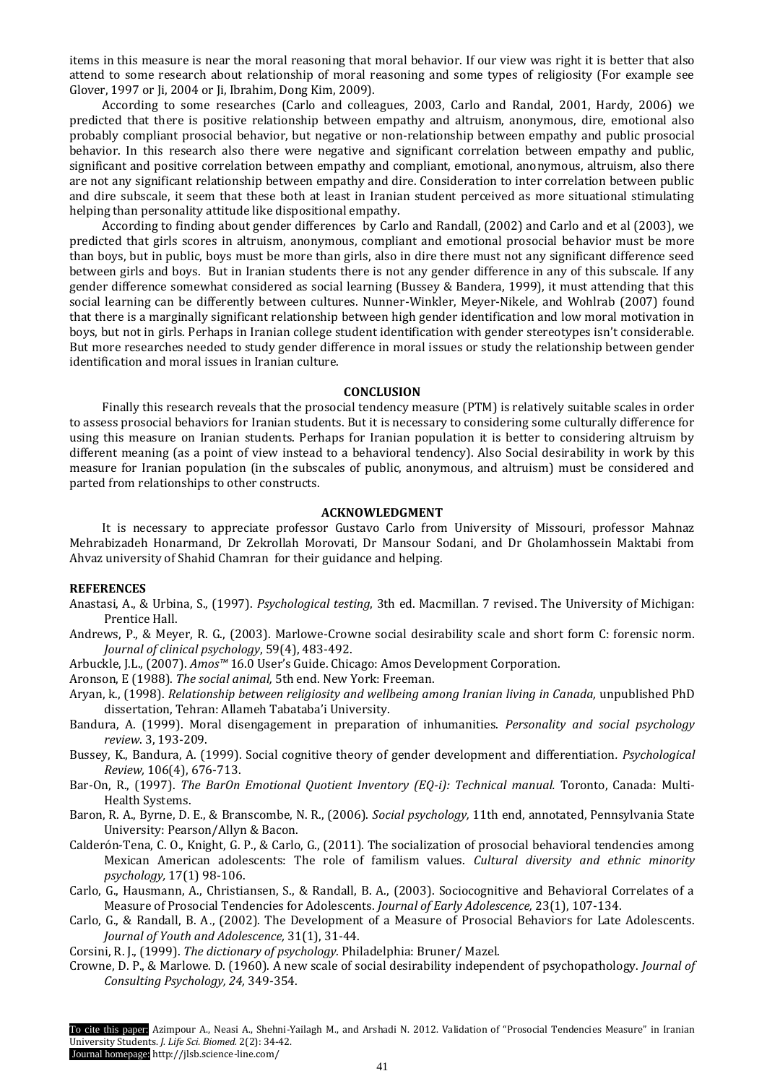items in this measure is near the moral reasoning that moral behavior. If our view was right it is better that also attend to some research about relationship of moral reasoning and some types of religiosity (For example see Glover, 1997 or Ji, 2004 or Ji, Ibrahim, Dong Kim, 2009).

According to some researches (Carlo and colleagues, 2003, Carlo and Randal, 2001, Hardy, 2006) we predicted that there is positive relationship between empathy and altruism, anonymous, dire, emotional also probably compliant prosocial behavior, but negative or non-relationship between empathy and public prosocial behavior. In this research also there were negative and significant correlation between empathy and public, significant and positive correlation between empathy and compliant, emotional, anonymous, altruism, also there are not any significant relationship between empathy and dire. Consideration to inter correlation between public and dire subscale, it seem that these both at least in Iranian student perceived as more situational stimulating helping than personality attitude like dispositional empathy.

According to finding about gender differences by Carlo and Randall, (2002) and Carlo and et al (2003), we predicted that girls scores in altruism, anonymous, compliant and emotional prosocial behavior must be more than boys, but in public, boys must be more than girls, also in dire there must not any significant difference seed between girls and boys. But in Iranian students there is not any gender difference in any of this subscale. If any gender difference somewhat considered as social learning (Bussey & Bandera, 1999), it must attending that this social learning can be differently between cultures. Nunner-Winkler, Meyer-Nikele, and Wohlrab (2007) found that there is a marginally significant relationship between high gender identification and low moral motivation in boys, but not in girls. Perhaps in Iranian college student identification with gender stereotypes isn't considerable. But more researches needed to study gender difference in moral issues or study the relationship between gender identification and moral issues in Iranian culture.

## **CONCLUSION**

Finally this research reveals that the prosocial tendency measure (PTM) is relatively suitable scales in order to assess prosocial behaviors for Iranian students. But it is necessary to considering some culturally difference for using this measure on Iranian students. Perhaps for Iranian population it is better to considering altruism by different meaning (as a point of view instead to a behavioral tendency). Also Social desirability in work by this measure for Iranian population (in the subscales of public, anonymous, and altruism) must be considered and parted from relationships to other constructs.

# **ACKNOWLEDGMENT**

It is necessary to appreciate professor Gustavo Carlo from University of Missouri, professor Mahnaz Mehrabizadeh Honarmand, Dr Zekrollah Morovati, Dr Mansour Sodani, and Dr Gholamhossein Maktabi from Ahvaz university of Shahid Chamran for their guidance and helping.

#### **REFERENCES**

- Anastasi, A., & Urbina, S., (1997). *Psychological testing*, 3th ed. Macmillan. 7 revised. The University of Michigan: Prentice Hall.
- Andrews, P., & Meyer, R. G., (2003). Marlowe-Crowne social desirability scale and short form C: forensic norm*. Journal of clinical psychology*, 59(4), 483-492.
- Arbuckle, J.L., (2007). *Amos™* 16.0 User's Guide. Chicago: Amos Development Corporation.
- Aronson, E (1988). *The social animal,* 5th end. New York: Freeman.
- Aryan, k., (1998). *Relationship between religiosity and wellbeing among Iranian living in Canada,* unpublished PhD dissertation, Tehran: Allameh Tabataba'i University.
- Bandura, A. (1999). Moral disengagement in preparation of inhumanities. *Personality and social psychology review*. 3, 193-209.
- Bussey, K., Bandura, A. (1999). Social cognitive theory of gender development and differentiation*. Psychological Review,* 106(4), 676-713.
- Bar-On, R., (1997). *The BarOn Emotional Quotient Inventory (EQ-i): Technical manual.* Toronto, Canada: Multi-Health Systems.
- Baron, R. A., Byrne, D. E., & Branscombe, N. R., (2006). *Social psychology,* 11th end, annotated, Pennsylvania State University: Pearson/Allyn & Bacon.
- Calderón-Tena, C. O., Knight, G. P., & Carlo, G., (2011). The socialization of prosocial behavioral tendencies among Mexican American adolescents: The role of familism values. *Cultural diversity and ethnic minority psychology,* 17(1) 98-106.
- Carlo, G., Hausmann, A., Christiansen, S., & Randall, B. A., (2003). Sociocognitive and Behavioral Correlates of a Measure of Prosocial Tendencies for Adolescents. *Journal of Early Adolescence,* 23(1), 107-134.
- Carlo, G., & Randall, B. A., (2002). The Development of a Measure of Prosocial Behaviors for Late Adolescents. *Journal of Youth and Adolescence,* 31(1), 31-44.
- Corsini, R. J., (1999). *The dictionary of psychology.* Philadelphia: Bruner/ Mazel.
- Crowne, D. P., & Marlowe. D. (1960). A new scale of social desirability independent of psychopathology. *Journal of Consulting Psychology, 24,* 349-354.